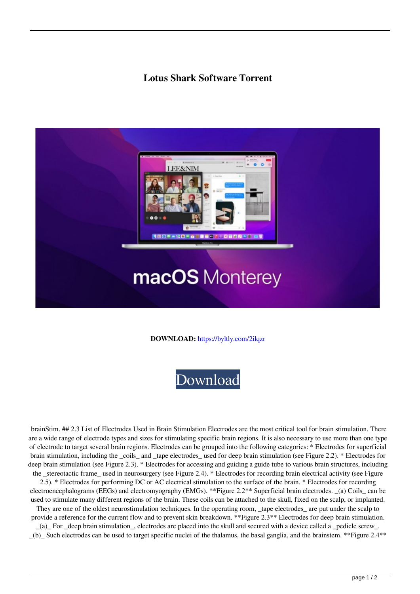## **Lotus Shark Software Torrent**



**DOWNLOAD:** <https://byltly.com/2ilqzr>



 brainStim. ## 2.3 List of Electrodes Used in Brain Stimulation Electrodes are the most critical tool for brain stimulation. There are a wide range of electrode types and sizes for stimulating specific brain regions. It is also necessary to use more than one type of electrode to target several brain regions. Electrodes can be grouped into the following categories: \* Electrodes for superficial brain stimulation, including the \_coils\_ and \_tape electrodes\_ used for deep brain stimulation (see Figure 2.2). \* Electrodes for deep brain stimulation (see Figure 2.3). \* Electrodes for accessing and guiding a guide tube to various brain structures, including the \_stereotactic frame\_ used in neurosurgery (see Figure 2.4). \* Electrodes for recording brain electrical activity (see Figure

2.5). \* Electrodes for performing DC or AC electrical stimulation to the surface of the brain. \* Electrodes for recording electroencephalograms (EEGs) and electromyography (EMGs). \*\*Figure 2.2\*\* Superficial brain electrodes. \_(a) Coils\_ can be used to stimulate many different regions of the brain. These coils can be attached to the skull, fixed on the scalp, or implanted.

They are one of the oldest neurostimulation techniques. In the operating room, \_tape electrodes\_ are put under the scalp to provide a reference for the current flow and to prevent skin breakdown. \*\*Figure 2.3\*\* Electrodes for deep brain stimulation.

\_(a)\_ For \_deep brain stimulation\_, electrodes are placed into the skull and secured with a device called a \_pedicle screw\_. \_(b)\_ Such electrodes can be used to target specific nuclei of the thalamus, the basal ganglia, and the brainstem. \*\*Figure 2.4\*\*